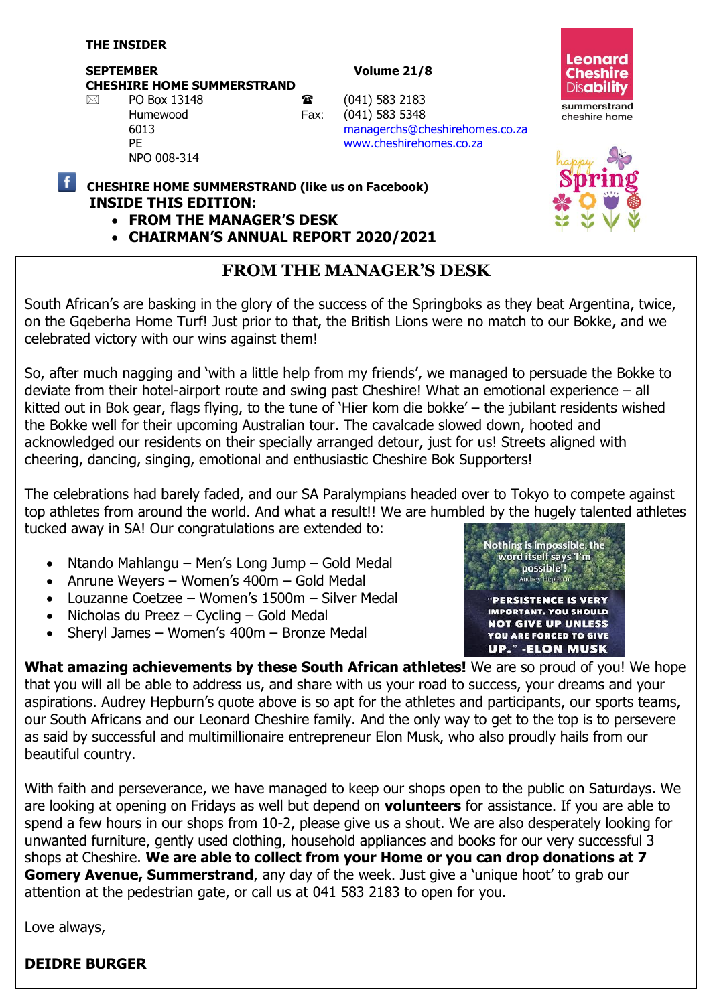#### **SEPTEMBER Volume 21/8 CHESHIRE HOME SUMMERSTRAND**

NPO 008-314

 $\boxtimes$  PO Box 13148 **a** (041) 583 2183 Humewood Fax: (041) 583 5348 6013 [managerchs@cheshirehomes.co.za](mailto:managerchs@cheshirehomes.co.za) PE [www.cheshirehomes.co.za](http://www.cheshirehomes.co.za/)





- **CHESHIRE HOME SUMMERSTRAND (like us on Facebook) INSIDE THIS EDITION:** 
	- **FROM THE MANAGER'S DESK**
	- **CHAIRMAN'S ANNUAL REPORT 2020/2021**

## **FROM THE MANAGER'S DESK**

South African's are basking in the glory of the success of the Springboks as they beat Argentina, twice, on the Gqeberha Home Turf! Just prior to that, the British Lions were no match to our Bokke, and we celebrated victory with our wins against them!

So, after much nagging and 'with a little help from my friends', we managed to persuade the Bokke to deviate from their hotel-airport route and swing past Cheshire! What an emotional experience – all kitted out in Bok gear, flags flying, to the tune of 'Hier kom die bokke' – the jubilant residents wished the Bokke well for their upcoming Australian tour. The cavalcade slowed down, hooted and acknowledged our residents on their specially arranged detour, just for us! Streets aligned with cheering, dancing, singing, emotional and enthusiastic Cheshire Bok Supporters!

The celebrations had barely faded, and our SA Paralympians headed over to Tokyo to compete against top athletes from around the world. And what a result!! We are humbled by the hugely talented athletes tucked away in SA! Our congratulations are extended to:

- Ntando Mahlangu Men's Long Jump Gold Medal
- Anrune Weyers Women's 400m Gold Medal
- Louzanne Coetzee Women's 1500m Silver Medal
- Nicholas du Preez Cycling Gold Medal
- Sheryl James Women's 400m Bronze Medal



**What amazing achievements by these South African athletes!** We are so proud of you! We hope that you will all be able to address us, and share with us your road to success, your dreams and your aspirations. Audrey Hepburn's quote above is so apt for the athletes and participants, our sports teams, our South Africans and our Leonard Cheshire family. And the only way to get to the top is to persevere as said by successful and multimillionaire entrepreneur Elon Musk, who also proudly hails from our beautiful country.

With faith and perseverance, we have managed to keep our shops open to the public on Saturdays. We are looking at opening on Fridays as well but depend on **volunteers** for assistance. If you are able to spend a few hours in our shops from 10-2, please give us a shout. We are also desperately looking for unwanted furniture, gently used clothing, household appliances and books for our very successful 3 shops at Cheshire. **We are able to collect from your Home or you can drop donations at 7 Gomery Avenue, Summerstrand**, any day of the week. Just give a 'unique hoot' to grab our attention at the pedestrian gate, or call us at 041 583 2183 to open for you.

Love always,

## **DEIDRE BURGER**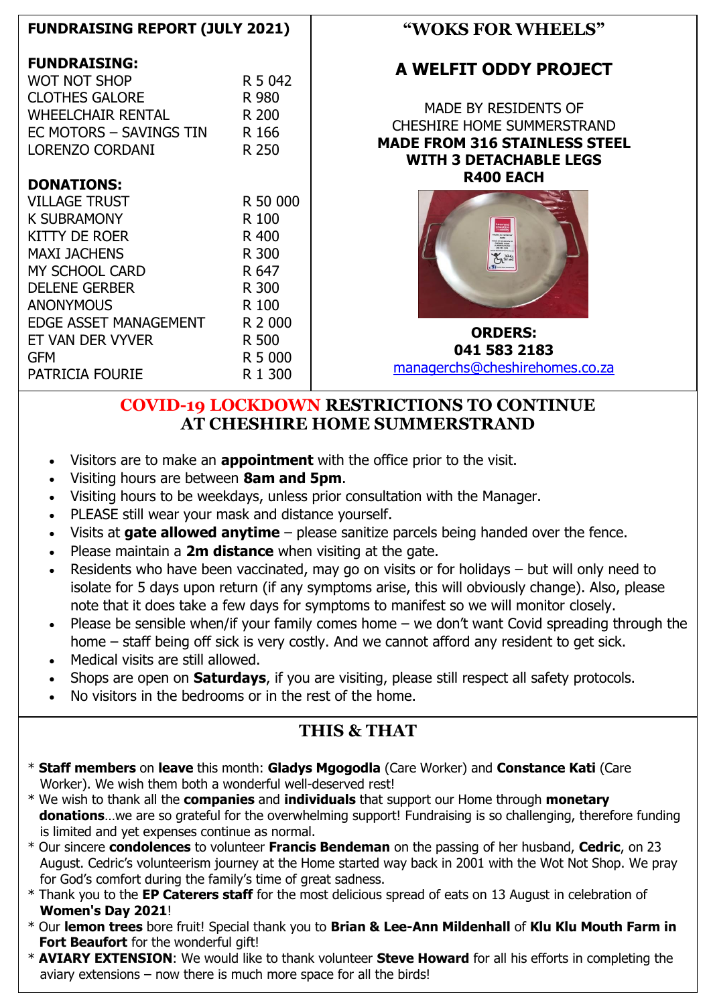| <b>FUNDRAISING REPORT (JULY 2021)</b>                                                           |                                  | "WOKS FOR WHEELS"                                                                                                                  |
|-------------------------------------------------------------------------------------------------|----------------------------------|------------------------------------------------------------------------------------------------------------------------------------|
| <b>FUNDRAISING:</b><br><b>WOT NOT SHOP</b>                                                      | R 5 042                          | A WELFIT ODDY PROJECT                                                                                                              |
| <b>CLOTHES GALORE</b><br>WHEELCHAIR RENTAL<br>EC MOTORS - SAVINGS TIN<br><b>LORENZO CORDANI</b> | R 980<br>R 200<br>R 166<br>R 250 | MADE BY RESIDENTS OF<br><b>CHESHIRE HOME SUMMERSTRAND</b><br><b>MADE FROM 316 STAINLESS STEEL</b><br><b>WITH 3 DETACHABLE LEGS</b> |
| <b>DONATIONS:</b>                                                                               |                                  | <b>R400 EACH</b>                                                                                                                   |
| <b>VILLAGE TRUST</b><br><b>K SUBRAMONY</b><br>KITTY DE ROER                                     | R 50 000<br>R 100<br>R 400       |                                                                                                                                    |
| <b>MAXI JACHENS</b><br>MY SCHOOL CARD<br><b>DELENE GERBER</b>                                   | R 300<br>R 647<br>R 300          |                                                                                                                                    |
| <b>ANONYMOUS</b><br>EDGE ASSET MANAGEMENT                                                       | R 100<br>R 2 000                 | <b>ORDERS:</b>                                                                                                                     |
| ET VAN DER VYVER<br><b>GFM</b><br>PATRICIA FOURIE                                               | R 500<br>R 5 000<br>R 1 300      | 041 583 2183<br>managerchs@cheshirehomes.co.za                                                                                     |

#### **COVID-19 LOCKDOWN RESTRICTIONS TO CONTINUE AT CHESHIRE HOME SUMMERSTRAND**

- Visitors are to make an **appointment** with the office prior to the visit.
- Visiting hours are between **8am and 5pm**.
- Visiting hours to be weekdays, unless prior consultation with the Manager.
- PLEASE still wear your mask and distance yourself.
- Visits at **gate allowed anytime** please sanitize parcels being handed over the fence.
- Please maintain a **2m distance** when visiting at the gate.
- Residents who have been vaccinated, may go on visits or for holidays but will only need to isolate for 5 days upon return (if any symptoms arise, this will obviously change). Also, please note that it does take a few days for symptoms to manifest so we will monitor closely.
- Please be sensible when/if your family comes home we don't want Covid spreading through the home – staff being off sick is very costly. And we cannot afford any resident to get sick.
- Medical visits are still allowed.
- Shops are open on **Saturdays**, if you are visiting, please still respect all safety protocols.
- No visitors in the bedrooms or in the rest of the home.

# **THIS & THAT**

- \* **Staff members** on **leave** this month: **Gladys Mgogodla** (Care Worker) and **Constance Kati** (Care Worker). We wish them both a wonderful well-deserved rest!
- \* We wish to thank all the **companies** and **individuals** that support our Home through **monetary donations**…we are so grateful for the overwhelming support! Fundraising is so challenging, therefore funding is limited and yet expenses continue as normal.
- \* Our sincere **condolences** to volunteer **Francis Bendeman** on the passing of her husband, **Cedric**, on 23 August. Cedric's volunteerism journey at the Home started way back in 2001 with the Wot Not Shop. We pray for God's comfort during the family's time of great sadness.
- \* Thank you to the **EP Caterers staff** for the most delicious spread of eats on 13 August in celebration of **Women's Day 2021**!
- \* Our **lemon trees** bore fruit! Special thank you to **Brian & Lee-Ann Mildenhall** of **Klu Klu Mouth Farm in Fort Beaufort** for the wonderful gift!
- \* **AVIARY EXTENSION**: We would like to thank volunteer **Steve Howard** for all his efforts in completing the aviary extensions – now there is much more space for all the birds!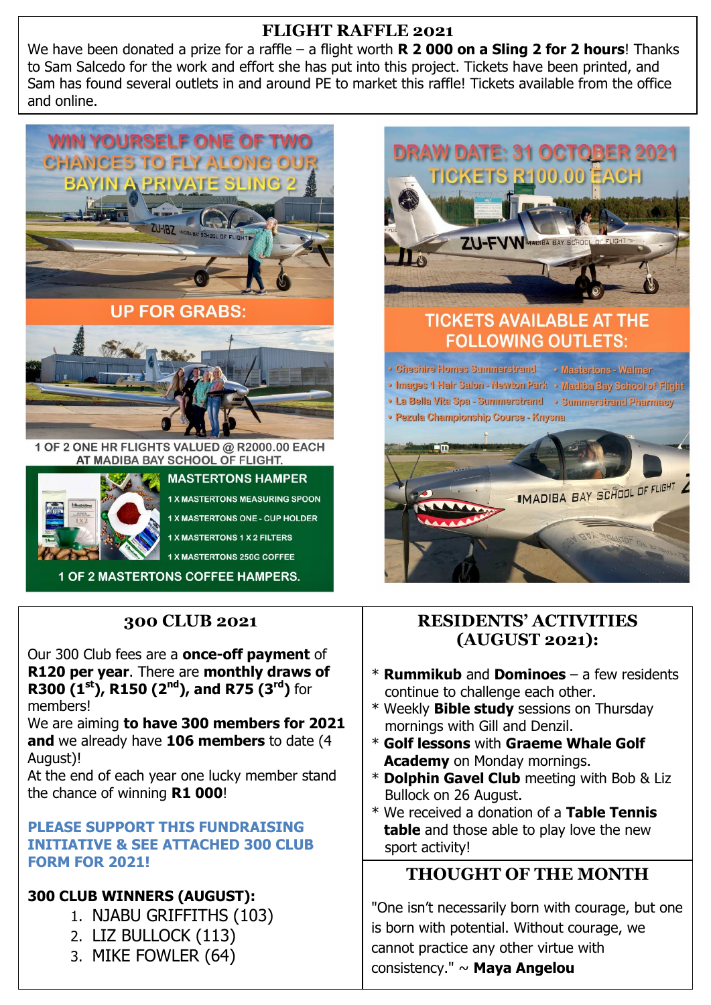### **FLIGHT RAFFLE 2021**

We have been donated a prize for a raffle – a flight worth **R 2 000 on a Sling 2 for 2 hours**! Thanks to Sam Salcedo for the work and effort she has put into this project. Tickets have been printed, and Sam has found several outlets in and around PE to market this raffle! Tickets available from the office and online.





**1 X MASTERTONS MEASURING SPOON 1 X MASTERTONS ONE - CUP HOLDER 1 X MASTERTONS 1 X 2 FILTERS** 

1 X MASTERTONS 250G COFFEE

**1 OF 2 MASTERTONS COFFEE HAMPERS.** 

## **300 CLUB 2021**

Our 300 Club fees are a **once-off payment** of **R120 per year**. There are **monthly draws of R300 (1st), R150 (2nd), and R75 (3rd)** for members!

We are aiming **to have 300 members for 2021 and** we already have **106 members** to date (4 August)!

At the end of each year one lucky member stand the chance of winning **R1 000**!

**PLEASE SUPPORT THIS FUNDRAISING INITIATIVE & SEE ATTACHED 300 CLUB FORM FOR 2021!**

### **300 CLUB WINNERS (AUGUST):**

- 1. NJABU GRIFFITHS (103)
- 2. LIZ BULLOCK (113)
- 3. MIKE FOWLER (64)





#### **RESIDENTS' ACTIVITIES (AUGUST 2021):**

- \* **Rummikub** and **Dominoes** a few residents continue to challenge each other.
- \* Weekly **Bible study** sessions on Thursday mornings with Gill and Denzil.
- \* **Golf lessons** with **Graeme Whale Golf Academy** on Monday mornings.
- \* **Dolphin Gavel Club** meeting with Bob & Liz Bullock on 26 August.
- \* We received a donation of a **Table Tennis table** and those able to play love the new sport activity!

### **THOUGHT OF THE MONTH**

"One isn't necessarily born with courage, but one is born with potential. Without courage, we cannot practice any other virtue with consistency." ~ **Maya Angelou**